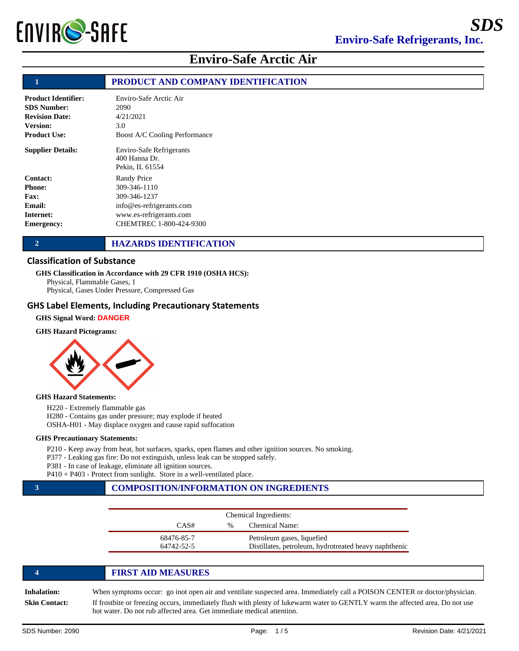

## **1 PRODUCT AND COMPANY IDENTIFICATION**

| <b>Product Identifier:</b> | Enviro-Safe Arctic Air                                         |
|----------------------------|----------------------------------------------------------------|
| <b>SDS Number:</b>         | 2090                                                           |
| <b>Revision Date:</b>      | 4/21/2021                                                      |
| <b>Version:</b>            | 3.0                                                            |
| <b>Product Use:</b>        | <b>Boost A/C Cooling Performance</b>                           |
| <b>Supplier Details:</b>   | Enviro-Safe Refrigerants<br>$400$ Hanna Dr.<br>Pekin, IL 61554 |
| Contact:                   | Randy Price                                                    |
| <b>Phone:</b>              | 309-346-1110                                                   |
| Fax:                       | 309-346-1237                                                   |
| Email:                     | info@es-refrigerants.com                                       |
| Internet:                  | www.es-refrigerants.com                                        |
| Emergency:                 | CHEMTREC 1-800-424-9300                                        |

### **2 HAZARDS IDENTIFICATION**

### Classification of Substance

### **GHS Classification in Accordance with 29 CFR 1910 (OSHA HCS):**

Physical, Flammable Gases, 1 Physical, Gases Under Pressure, Compressed Gas

### GHS Label Elements, Including Precautionary Statements

### **GHS Signal Word: DANGER**

#### **GHS Hazard Pictograms:**



#### **GHS Hazard Statements:**

H220 - Extremely flammable gas

H280 - Contains gas under pressure; may explode if heated

OSHA-H01 - May displace oxygen and cause rapid suffocation

#### **GHS Precautionary Statements:**

P210 - Keep away from heat, hot surfaces, sparks, open flames and other ignition sources. No smoking.

P377 - Leaking gas fire: Do not extinguish, unless leak can be stopped safely.

P381 - In case of leakage, eliminate all ignition sources.

P410 + P403 - Protect from sunlight. Store in a well-ventilated place.

# **3 COMPOSITION/INFORMATION ON INGREDIENTS**

| Chemical Ingredients: |      |                                                       |
|-----------------------|------|-------------------------------------------------------|
| CAS#                  | $\%$ | <b>Chemical Name:</b>                                 |
| 68476-85-7            |      | Petroleum gases, liquefied                            |
| 64742-52-5            |      | Distillates, petroleum, hydrotreated heavy naphthenic |

|                 | <b>FIRST AID MEASURES</b>                                                                                                                                                                              |
|-----------------|--------------------------------------------------------------------------------------------------------------------------------------------------------------------------------------------------------|
| Inhalation:     | When symptoms occur: go inot open air and ventilate suspected area. Immediately call a POISON CENTER or doctor/physician.                                                                              |
| Skin Contact: \ | If frostbite or freezing occurs, immediately flush with plenty of lukewarm water to GENTLY warm the affected area. Do not use<br>hot water. Do not rub affected area. Get immediate medical attention. |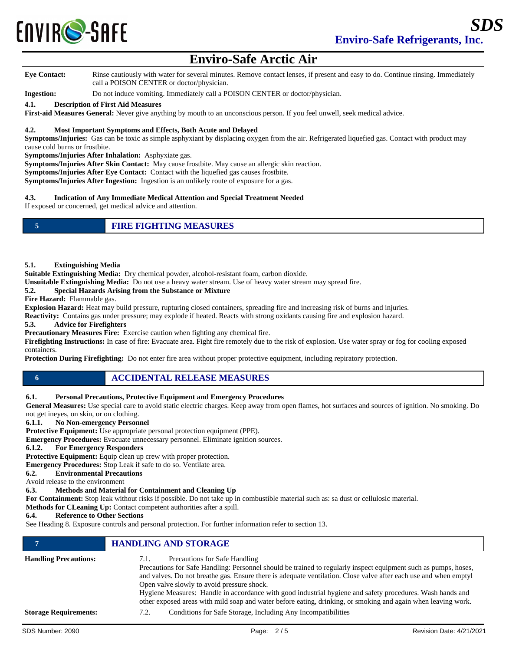

**Eye Contact:** Rinse cautiously with water for several minutes. Remove contact lenses, if present and easy to do. Continue rinsing. Immediately call a POISON CENTER or doctor/physician.

**Ingestion:** Do not induce vomiting. Immediately call a POISON CENTER or doctor/physician.

#### **4.1. Description of First Aid Measures**

**First-aid Measures General:** Never give anything by mouth to an unconscious person. If you feel unwell, seek medical advice.

### **4.2. Most Important Symptoms and Effects, Both Acute and Delayed**

**Symptoms/Injuries:** Gas can be toxic as simple asphyxiant by displacing oxygen from the air. Refrigerated liquefied gas. Contact with product may cause cold burns or frostbite.

**Symptoms/Injuries After Inhalation:** Asphyxiate gas.

**Symptoms/Injuries After Skin Contact:** May cause frostbite. May cause an allergic skin reaction.

**Symptoms/Injuries After Eye Contact:** Contact with the liquefied gas causes frostbite.

**Symptoms/Injuries After Ingestion:** Ingestion is an unlikely route of exposure for a gas.

### **4.3. Indication of Any Immediate Medical Attention and Special Treatment Needed**

If exposed or concerned, get medical advice and attention.

|  | <b>FIRE FIGHTING MEASURES</b> |
|--|-------------------------------|
|--|-------------------------------|

#### **5.1. Extinguishing Media**

**Suitable Extinguishing Media:** Dry chemical powder, alcohol-resistant foam, carbon dioxide.

**Unsuitable Extinguishing Media:** Do not use a heavy water stream. Use of heavy water stream may spread fire.

### **5.2. Special Hazards Arising from the Substance or Mixture**

**Fire Hazard:** Flammable gas.

**Explosion Hazard:** Heat may build pressure, rupturing closed containers, spreading fire and increasing risk of burns and injuries.

**Reactivity:** Contains gas under pressure; may explode if heated. Reacts with strong oxidants causing fire and explosion hazard.<br>5.3. Advice for Firefighters

**5.3. Advice for Firefighters**

**Precautionary Measures Fire:** Exercise caution when fighting any chemical fire.

**Firefighting Instructions:** In case of fire: Evacuate area. Fight fire remotely due to the risk of explosion. Use water spray or fog for cooling exposed containers.

**Protection During Firefighting:** Do not enter fire area without proper protective equipment, including repiratory protection.

# **6 ACCIDENTAL RELEASE MEASURES**

### **6.1. Personal Precautions, Protective Equipment and Emergency Procedures**

**General Measures:** Use special care to avoid static electric charges. Keep away from open flames, hot surfaces and sources of ignition. No smoking. Do not get ineyes, on skin, or on clothing.

**6.1.1. No Non-emergency Personnel** 

**Protective Equipment:** Use appropriate personal protection equipment (PPE).

**Emergency Procedures:** Evacuate unnecessary personnel. Eliminate ignition sources.<br>**6.1.2.** For Emergency Responders

**6.1.2. For Emergency Responders** 

**Protective Equipment:** Equip clean up crew with proper protection.

**Emergency Procedures:** Stop Leak if safe to do so. Ventilate area.

**6.2. Environmental Precautions** 

Avoid release to the environment

## **6.3. Methods and Material for Containment and Cleaning Up**

**For Containment:** Stop leak without risks if possible. Do not take up in combustible material such as: sa dust or cellulosic material.

**Methods for CLeaning Up:** Contact competent authorities after a spill.

### **6.4. Reference to Other Sections**

See Heading 8. Exposure controls and personal protection. For further information refer to section 13.

|                              | <b>HANDLING AND STORAGE</b>                                                                                                                                                                                                                                                                                                                                                                                                                                                                                                                              |
|------------------------------|----------------------------------------------------------------------------------------------------------------------------------------------------------------------------------------------------------------------------------------------------------------------------------------------------------------------------------------------------------------------------------------------------------------------------------------------------------------------------------------------------------------------------------------------------------|
| <b>Handling Precautions:</b> | Precautions for Safe Handling<br>7.1.<br>Precautions for Safe Handling: Personnel should be trained to regularly inspect equipment such as pumps, hoses,<br>and valves. Do not breathe gas. Ensure there is adequate ventilation. Close valve after each use and when emptyl<br>Open valve slowly to avoid pressure shock.<br>Hygiene Measures: Handle in accordance with good industrial hygiene and safety procedures. Wash hands and<br>other exposed areas with mild soap and water before eating, drinking, or smoking and again when leaving work. |
| <b>Storage Requirements:</b> | Conditions for Safe Storage, Including Any Incompatibilities<br>7.2.                                                                                                                                                                                                                                                                                                                                                                                                                                                                                     |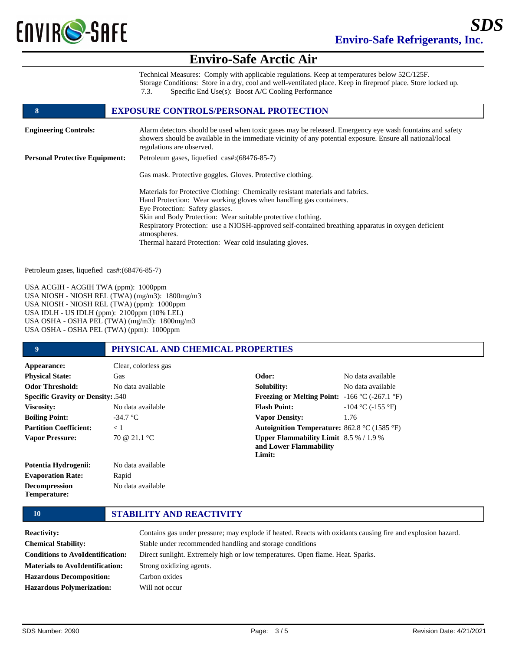

Technical Measures: Comply with applicable regulations. Keep at temperatures below 52C/125F. Storage Conditions: Store in a dry, cool and well-ventilated place. Keep in fireproof place. Store locked up. 7.3. Specific End Use(s): Boost A/C Cooling Performance

### **8 EXPOSURE CONTROLS/PERSONAL PROTECTION**

| <b>Engineering Controls:</b>          | Alarm detectors should be used when toxic gases may be released. Emergency eye wash fountains and safety<br>showers should be available in the immediate vicinity of any potential exposure. Ensure all national/local<br>regulations are observed.                                                                                                                                                                                       |
|---------------------------------------|-------------------------------------------------------------------------------------------------------------------------------------------------------------------------------------------------------------------------------------------------------------------------------------------------------------------------------------------------------------------------------------------------------------------------------------------|
| <b>Personal Protective Equipment:</b> | Petroleum gases, liquefied cas#: (68476-85-7)                                                                                                                                                                                                                                                                                                                                                                                             |
|                                       | Gas mask. Protective goggles. Gloves. Protective clothing.                                                                                                                                                                                                                                                                                                                                                                                |
|                                       | Materials for Protective Clothing: Chemically resistant materials and fabrics.<br>Hand Protection: Wear working gloves when handling gas containers.<br>Eye Protection: Safety glasses.<br>Skin and Body Protection: Wear suitable protective clothing.<br>Respiratory Protection: use a NIOSH-approved self-contained breathing apparatus in oxygen deficient<br>atmospheres.<br>Thermal hazard Protection: Wear cold insulating gloves. |

Petroleum gases, liquefied cas#:(68476-85-7)

USA ACGIH - ACGIH TWA (ppm): 1000ppm USA NIOSH - NIOSH REL (TWA) (mg/m3): 1800mg/m3 USA NIOSH - NIOSH REL (TWA) (ppm): 1000ppm USA IDLH - US IDLH (ppm): 2100ppm (10% LEL) USA OSHA - OSHA PEL (TWA) (mg/m3): 1800mg/m3 USA OSHA - OSHA PEL (TWA) (ppm): 1000ppm

### **9 PHYSICAL AND CHEMICAL PROPERTIES**

| Appearance:                              | Clear, colorless gas |                                                                                     |                        |
|------------------------------------------|----------------------|-------------------------------------------------------------------------------------|------------------------|
| <b>Physical State:</b>                   | Gas                  | Odor:                                                                               | No data available      |
| <b>Odor Threshold:</b>                   | No data available    | Solubility:                                                                         | No data available      |
| <b>Specific Gravity or Density: .540</b> |                      | <b>Freezing or Melting Point:</b> $-166 \degree C (-267.1 \degree F)$               |                        |
| Viscosity:                               | No data available    | <b>Flash Point:</b>                                                                 | $-104$ °C ( $-155$ °F) |
| <b>Boiling Point:</b>                    | $-34.7 °C$           | <b>Vapor Density:</b>                                                               | 1.76                   |
| <b>Partition Coefficient:</b>            | $\leq 1$             | <b>Autoignition Temperature:</b> 862.8 $^{\circ}$ C (1585 $^{\circ}$ F)             |                        |
| <b>Vapor Pressure:</b>                   | 70 @ 21.1 °C         | <b>Upper Flammability Limit</b> $8.5\% / 1.9\%$<br>and Lower Flammability<br>Limit: |                        |
| Potentia Hydrogenii:                     | No data available    |                                                                                     |                        |
| <b>Evaporation Rate:</b>                 | Rapid                |                                                                                     |                        |
| <b>Decompression</b>                     | No data available    |                                                                                     |                        |

**Temperature:**

## **10 STABILITY AND REACTIVITY**

| <b>Reactivity:</b>                      | Contains gas under pressure; may explode if heated. Reacts with oxidants causing fire and explosion hazard. |
|-----------------------------------------|-------------------------------------------------------------------------------------------------------------|
| <b>Chemical Stability:</b>              | Stable under recommended handling and storage conditions                                                    |
| <b>Conditions to AvoIdentification:</b> | Direct sunlight. Extremely high or low temperatures. Open flame. Heat. Sparks.                              |
| <b>Materials to AvoIdentification:</b>  | Strong oxidizing agents.                                                                                    |
| <b>Hazardous Decomposition:</b>         | Carbon oxides                                                                                               |
| <b>Hazardous Polymerization:</b>        | Will not occur                                                                                              |
|                                         |                                                                                                             |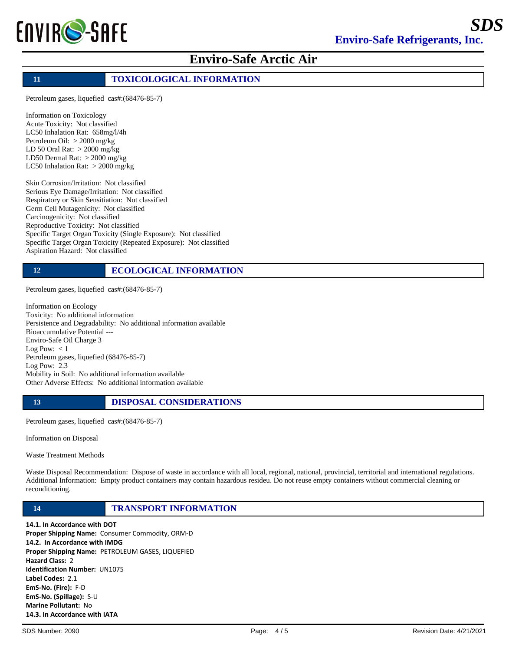

## **11 TOXICOLOGICAL INFORMATION**

Petroleum gases, liquefied cas#:(68476-85-7)

Information on Toxicology Acute Toxicity: Not classified LC50 Inhalation Rat: 658mg/l/4h Petroleum Oil: > 2000 mg/kg LD 50 Oral Rat: > 2000 mg/kg LD50 Dermal Rat: > 2000 mg/kg LC50 Inhalation Rat: > 2000 mg/kg

Skin Corrosion/Irritation: Not classified Serious Eye Damage/Irritation: Not classified Respiratory or Skin Sensitiation: Not classified Germ Cell Mutagenicity: Not classified Carcinogenicity: Not classified Reproductive Toxicity: Not classified Specific Target Organ Toxicity (Single Exposure): Not classified Specific Target Organ Toxicity (Repeated Exposure): Not classified Aspiration Hazard: Not classified

# **12 ECOLOGICAL INFORMATION**

Petroleum gases, liquefied cas#:(68476-85-7)

Information on Ecology Toxicity: No additional information Persistence and Degradability: No additional information available Bioaccumulative Potential --- Enviro-Safe Oil Charge 3 Log Pow:  $< 1$ Petroleum gases, liquefied (68476-85-7) Log Pow: 2.3 Mobility in Soil: No additional information available Other Adverse Effects: No additional information available

### **13 DISPOSAL CONSIDERATIONS**

Petroleum gases, liquefied cas#:(68476-85-7)

Information on Disposal

Waste Treatment Methods

Waste Disposal Recommendation: Dispose of waste in accordance with all local, regional, national, provincial, territorial and international regulations. Additional Information: Empty product containers may contain hazardous resideu. Do not reuse empty containers without commercial cleaning or reconditioning.

**14 TRANSPORT INFORMATION**

14.1. In Accordance with DOT Proper Shipping Name: Consumer Commodity, ORM-D 14.2. In Accordance with IMDG Proper Shipping Name: PETROLEUM GASES, LIQUEFIED Hazard Class: 2 Identification Number: UN1075 Label Codes: 2.1 EmS-No. (Fire): F-D EmS-No. (Spillage): S-U Marine Pollutant: No 14.3. In Accordance with IATA